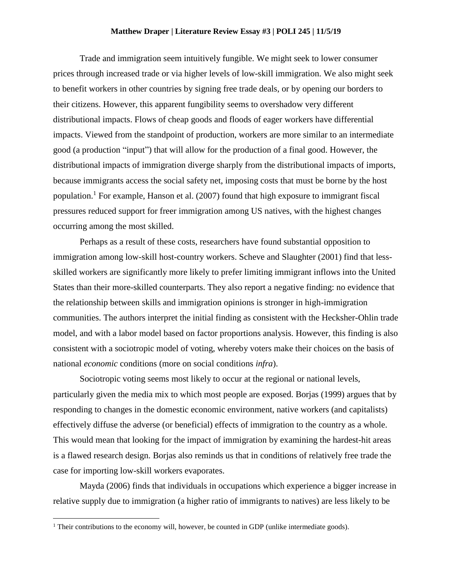## **Matthew Draper | Literature Review Essay #3 | POLI 245 | 11/5/19**

Trade and immigration seem intuitively fungible. We might seek to lower consumer prices through increased trade or via higher levels of low-skill immigration. We also might seek to benefit workers in other countries by signing free trade deals, or by opening our borders to their citizens. However, this apparent fungibility seems to overshadow very different distributional impacts. Flows of cheap goods and floods of eager workers have differential impacts. Viewed from the standpoint of production, workers are more similar to an intermediate good (a production "input") that will allow for the production of a final good. However, the distributional impacts of immigration diverge sharply from the distributional impacts of imports, because immigrants access the social safety net, imposing costs that must be borne by the host population.<sup>1</sup> For example, Hanson et al.  $(2007)$  found that high exposure to immigrant fiscal pressures reduced support for freer immigration among US natives, with the highest changes occurring among the most skilled.

Perhaps as a result of these costs, researchers have found substantial opposition to immigration among low-skill host-country workers. Scheve and Slaughter (2001) find that lessskilled workers are significantly more likely to prefer limiting immigrant inflows into the United States than their more-skilled counterparts. They also report a negative finding: no evidence that the relationship between skills and immigration opinions is stronger in high-immigration communities. The authors interpret the initial finding as consistent with the Hecksher-Ohlin trade model, and with a labor model based on factor proportions analysis. However, this finding is also consistent with a sociotropic model of voting, whereby voters make their choices on the basis of national *economic* conditions (more on social conditions *infra*).

Sociotropic voting seems most likely to occur at the regional or national levels, particularly given the media mix to which most people are exposed. Borjas (1999) argues that by responding to changes in the domestic economic environment, native workers (and capitalists) effectively diffuse the adverse (or beneficial) effects of immigration to the country as a whole. This would mean that looking for the impact of immigration by examining the hardest-hit areas is a flawed research design. Borjas also reminds us that in conditions of relatively free trade the case for importing low-skill workers evaporates.

Mayda (2006) finds that individuals in occupations which experience a bigger increase in relative supply due to immigration (a higher ratio of immigrants to natives) are less likely to be

 $\overline{\phantom{a}}$ 

<sup>&</sup>lt;sup>1</sup> Their contributions to the economy will, however, be counted in GDP (unlike intermediate goods).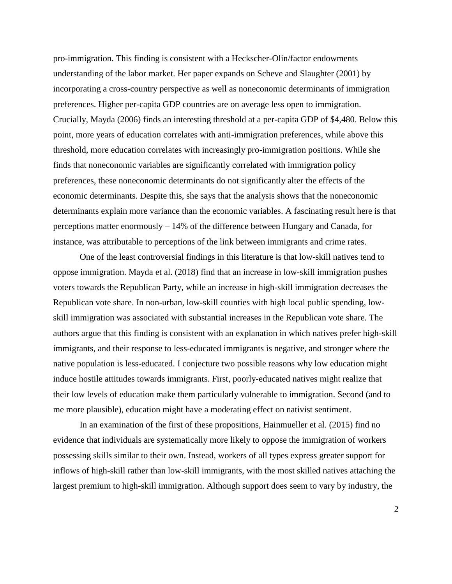pro-immigration. This finding is consistent with a Heckscher-Olin/factor endowments understanding of the labor market. Her paper expands on Scheve and Slaughter (2001) by incorporating a cross-country perspective as well as noneconomic determinants of immigration preferences. Higher per-capita GDP countries are on average less open to immigration. Crucially, Mayda (2006) finds an interesting threshold at a per-capita GDP of \$4,480. Below this point, more years of education correlates with anti-immigration preferences, while above this threshold, more education correlates with increasingly pro-immigration positions. While she finds that noneconomic variables are significantly correlated with immigration policy preferences, these noneconomic determinants do not significantly alter the effects of the economic determinants. Despite this, she says that the analysis shows that the noneconomic determinants explain more variance than the economic variables. A fascinating result here is that perceptions matter enormously – 14% of the difference between Hungary and Canada, for instance, was attributable to perceptions of the link between immigrants and crime rates.

One of the least controversial findings in this literature is that low-skill natives tend to oppose immigration. Mayda et al. (2018) find that an increase in low-skill immigration pushes voters towards the Republican Party, while an increase in high-skill immigration decreases the Republican vote share. In non-urban, low-skill counties with high local public spending, lowskill immigration was associated with substantial increases in the Republican vote share. The authors argue that this finding is consistent with an explanation in which natives prefer high-skill immigrants, and their response to less-educated immigrants is negative, and stronger where the native population is less-educated. I conjecture two possible reasons why low education might induce hostile attitudes towards immigrants. First, poorly-educated natives might realize that their low levels of education make them particularly vulnerable to immigration. Second (and to me more plausible), education might have a moderating effect on nativist sentiment.

In an examination of the first of these propositions, Hainmueller et al. (2015) find no evidence that individuals are systematically more likely to oppose the immigration of workers possessing skills similar to their own. Instead, workers of all types express greater support for inflows of high-skill rather than low-skill immigrants, with the most skilled natives attaching the largest premium to high-skill immigration. Although support does seem to vary by industry, the

2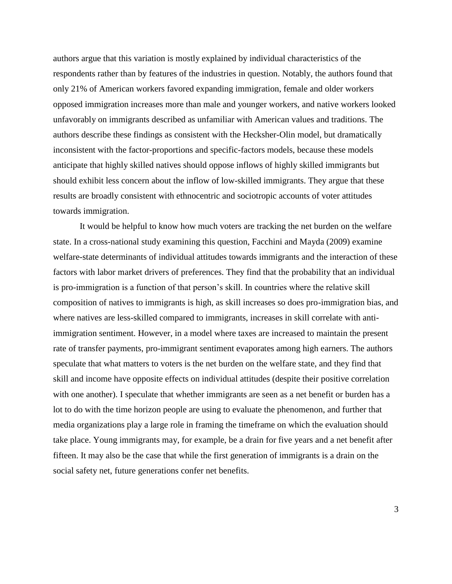authors argue that this variation is mostly explained by individual characteristics of the respondents rather than by features of the industries in question. Notably, the authors found that only 21% of American workers favored expanding immigration, female and older workers opposed immigration increases more than male and younger workers, and native workers looked unfavorably on immigrants described as unfamiliar with American values and traditions. The authors describe these findings as consistent with the Hecksher-Olin model, but dramatically inconsistent with the factor-proportions and specific-factors models, because these models anticipate that highly skilled natives should oppose inflows of highly skilled immigrants but should exhibit less concern about the inflow of low-skilled immigrants. They argue that these results are broadly consistent with ethnocentric and sociotropic accounts of voter attitudes towards immigration.

It would be helpful to know how much voters are tracking the net burden on the welfare state. In a cross-national study examining this question, Facchini and Mayda (2009) examine welfare-state determinants of individual attitudes towards immigrants and the interaction of these factors with labor market drivers of preferences. They find that the probability that an individual is pro-immigration is a function of that person's skill. In countries where the relative skill composition of natives to immigrants is high, as skill increases so does pro-immigration bias, and where natives are less-skilled compared to immigrants, increases in skill correlate with antiimmigration sentiment. However, in a model where taxes are increased to maintain the present rate of transfer payments, pro-immigrant sentiment evaporates among high earners. The authors speculate that what matters to voters is the net burden on the welfare state, and they find that skill and income have opposite effects on individual attitudes (despite their positive correlation with one another). I speculate that whether immigrants are seen as a net benefit or burden has a lot to do with the time horizon people are using to evaluate the phenomenon, and further that media organizations play a large role in framing the timeframe on which the evaluation should take place. Young immigrants may, for example, be a drain for five years and a net benefit after fifteen. It may also be the case that while the first generation of immigrants is a drain on the social safety net, future generations confer net benefits.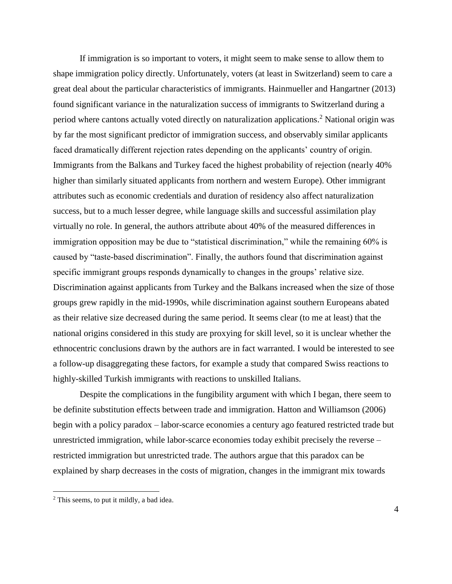If immigration is so important to voters, it might seem to make sense to allow them to shape immigration policy directly. Unfortunately, voters (at least in Switzerland) seem to care a great deal about the particular characteristics of immigrants. Hainmueller and Hangartner (2013) found significant variance in the naturalization success of immigrants to Switzerland during a period where cantons actually voted directly on naturalization applications.<sup>2</sup> National origin was by far the most significant predictor of immigration success, and observably similar applicants faced dramatically different rejection rates depending on the applicants' country of origin. Immigrants from the Balkans and Turkey faced the highest probability of rejection (nearly 40% higher than similarly situated applicants from northern and western Europe). Other immigrant attributes such as economic credentials and duration of residency also affect naturalization success, but to a much lesser degree, while language skills and successful assimilation play virtually no role. In general, the authors attribute about 40% of the measured differences in immigration opposition may be due to "statistical discrimination," while the remaining 60% is caused by "taste-based discrimination". Finally, the authors found that discrimination against specific immigrant groups responds dynamically to changes in the groups' relative size. Discrimination against applicants from Turkey and the Balkans increased when the size of those groups grew rapidly in the mid-1990s, while discrimination against southern Europeans abated as their relative size decreased during the same period. It seems clear (to me at least) that the national origins considered in this study are proxying for skill level, so it is unclear whether the ethnocentric conclusions drawn by the authors are in fact warranted. I would be interested to see a follow-up disaggregating these factors, for example a study that compared Swiss reactions to highly-skilled Turkish immigrants with reactions to unskilled Italians.

Despite the complications in the fungibility argument with which I began, there seem to be definite substitution effects between trade and immigration. Hatton and Williamson (2006) begin with a policy paradox – labor-scarce economies a century ago featured restricted trade but unrestricted immigration, while labor-scarce economies today exhibit precisely the reverse – restricted immigration but unrestricted trade. The authors argue that this paradox can be explained by sharp decreases in the costs of migration, changes in the immigrant mix towards

l

<sup>&</sup>lt;sup>2</sup> This seems, to put it mildly, a bad idea.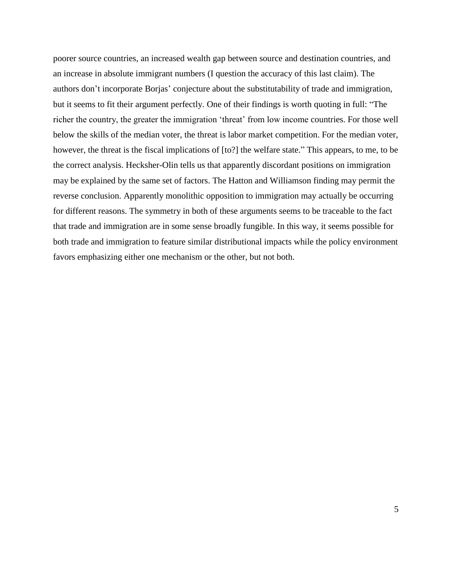poorer source countries, an increased wealth gap between source and destination countries, and an increase in absolute immigrant numbers (I question the accuracy of this last claim). The authors don't incorporate Borjas' conjecture about the substitutability of trade and immigration, but it seems to fit their argument perfectly. One of their findings is worth quoting in full: "The richer the country, the greater the immigration 'threat' from low income countries. For those well below the skills of the median voter, the threat is labor market competition. For the median voter, however, the threat is the fiscal implications of [to?] the welfare state." This appears, to me, to be the correct analysis. Hecksher-Olin tells us that apparently discordant positions on immigration may be explained by the same set of factors. The Hatton and Williamson finding may permit the reverse conclusion. Apparently monolithic opposition to immigration may actually be occurring for different reasons. The symmetry in both of these arguments seems to be traceable to the fact that trade and immigration are in some sense broadly fungible. In this way, it seems possible for both trade and immigration to feature similar distributional impacts while the policy environment favors emphasizing either one mechanism or the other, but not both.